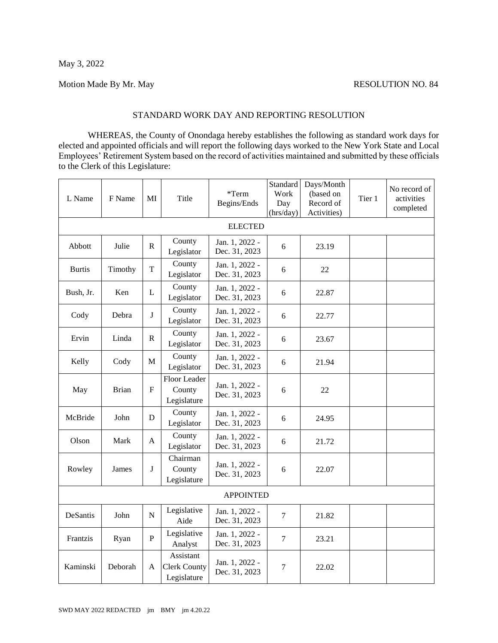## Motion Made By Mr. May RESOLUTION NO. 84

## STANDARD WORK DAY AND REPORTING RESOLUTION

WHEREAS, the County of Onondaga hereby establishes the following as standard work days for elected and appointed officials and will report the following days worked to the New York State and Local Employees' Retirement System based on the record of activities maintained and submitted by these officials to the Clerk of this Legislature:

| L Name           | F Name       | MI                        | Title                                        | *Term<br>Begins/Ends            | Standard<br>Work<br>Day<br>(hrs/day) | Days/Month<br>(based on<br>Record of<br>Activities) | Tier 1 | No record of<br>activities<br>completed |  |  |  |  |
|------------------|--------------|---------------------------|----------------------------------------------|---------------------------------|--------------------------------------|-----------------------------------------------------|--------|-----------------------------------------|--|--|--|--|
| <b>ELECTED</b>   |              |                           |                                              |                                 |                                      |                                                     |        |                                         |  |  |  |  |
| Abbott           | Julie        | R                         | County<br>Legislator                         | Jan. 1, 2022 -<br>Dec. 31, 2023 | 6                                    | 23.19                                               |        |                                         |  |  |  |  |
| <b>Burtis</b>    | Timothy      | T                         | County<br>Legislator                         | Jan. 1, 2022 -<br>Dec. 31, 2023 | 6                                    | 22                                                  |        |                                         |  |  |  |  |
| Bush, Jr.        | Ken          | $\mathbf L$               | County<br>Legislator                         | Jan. 1, 2022 -<br>Dec. 31, 2023 | 6                                    | 22.87                                               |        |                                         |  |  |  |  |
| Cody             | Debra        | J                         | County<br>Legislator                         | Jan. 1, 2022 -<br>Dec. 31, 2023 | 6                                    | 22.77                                               |        |                                         |  |  |  |  |
| Ervin            | Linda        | ${\bf R}$                 | County<br>Legislator                         | Jan. 1, 2022 -<br>Dec. 31, 2023 | 6                                    | 23.67                                               |        |                                         |  |  |  |  |
| Kelly            | Cody         | $\mathbf M$               | County<br>Legislator                         | Jan. 1, 2022 -<br>Dec. 31, 2023 | 6                                    | 21.94                                               |        |                                         |  |  |  |  |
| May              | <b>Brian</b> | $\boldsymbol{\mathrm{F}}$ | <b>Floor Leader</b><br>County<br>Legislature | Jan. 1, 2022 -<br>Dec. 31, 2023 | 6                                    | 22                                                  |        |                                         |  |  |  |  |
| McBride          | John         | D                         | County<br>Legislator                         | Jan. 1, 2022 -<br>Dec. 31, 2023 | 6                                    | 24.95                                               |        |                                         |  |  |  |  |
| Olson            | Mark         | $\mathbf{A}$              | County<br>Legislator                         | Jan. 1, 2022 -<br>Dec. 31, 2023 | 6                                    | 21.72                                               |        |                                         |  |  |  |  |
| Rowley           | James        | J                         | Chairman<br>County<br>Legislature            | Jan. 1, 2022 -<br>Dec. 31, 2023 | 6                                    | 22.07                                               |        |                                         |  |  |  |  |
| <b>APPOINTED</b> |              |                           |                                              |                                 |                                      |                                                     |        |                                         |  |  |  |  |
| DeSantis         | John         | ${\bf N}$                 | Legislative<br>Aide                          | Jan. 1, 2022 -<br>Dec. 31, 2023 | 7                                    | 21.82                                               |        |                                         |  |  |  |  |
| Frantzis         | Ryan         | $\mathbf{P}$              | Legislative<br>Analyst                       | Jan. 1, 2022 -<br>Dec. 31, 2023 | $\overline{7}$                       | 23.21                                               |        |                                         |  |  |  |  |
| Kaminski         | Deborah      | A                         | Assistant<br>Clerk County<br>Legislature     | Jan. 1, 2022 -<br>Dec. 31, 2023 | 7                                    | 22.02                                               |        |                                         |  |  |  |  |